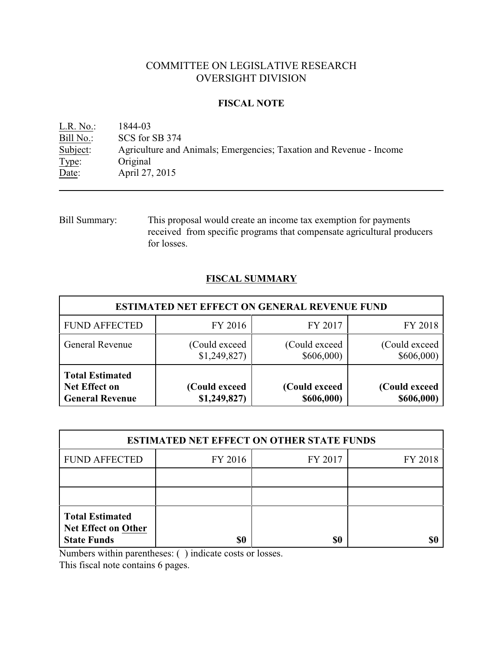# COMMITTEE ON LEGISLATIVE RESEARCH OVERSIGHT DIVISION

## **FISCAL NOTE**

<u>L.R. No.:</u> 1844-03<br>Bill No.: SCS for : Bill No.: SCS for SB 374<br>Subject: Agriculture and Subject: Agriculture and Animals; Emergencies; Taxation and Revenue - Income Type: Original Original Date: **April 27, 2015** 

Bill Summary: This proposal would create an income tax exemption for payments received from specific programs that compensate agricultural producers for losses.

# **FISCAL SUMMARY**

| <b>ESTIMATED NET EFFECT ON GENERAL REVENUE FUND</b>                      |                               |                             |                             |  |
|--------------------------------------------------------------------------|-------------------------------|-----------------------------|-----------------------------|--|
| <b>FUND AFFECTED</b>                                                     | FY 2016                       | FY 2017                     | FY 2018                     |  |
| <b>General Revenue</b>                                                   | (Could exceed)<br>\$1,249,827 | (Could exceed)<br>\$606,000 | (Could exceed<br>\$606,000  |  |
| <b>Total Estimated</b><br><b>Net Effect on</b><br><b>General Revenue</b> | (Could exceed<br>\$1,249,827  | (Could exceed<br>\$606,000) | (Could exceed<br>\$606,000) |  |

| <b>ESTIMATED NET EFFECT ON OTHER STATE FUNDS</b>                           |         |         |         |  |
|----------------------------------------------------------------------------|---------|---------|---------|--|
| <b>FUND AFFECTED</b>                                                       | FY 2016 | FY 2017 | FY 2018 |  |
|                                                                            |         |         |         |  |
|                                                                            |         |         |         |  |
| <b>Total Estimated</b><br><b>Net Effect on Other</b><br><b>State Funds</b> | \$0     | \$0     |         |  |

Numbers within parentheses: ( ) indicate costs or losses.

This fiscal note contains 6 pages.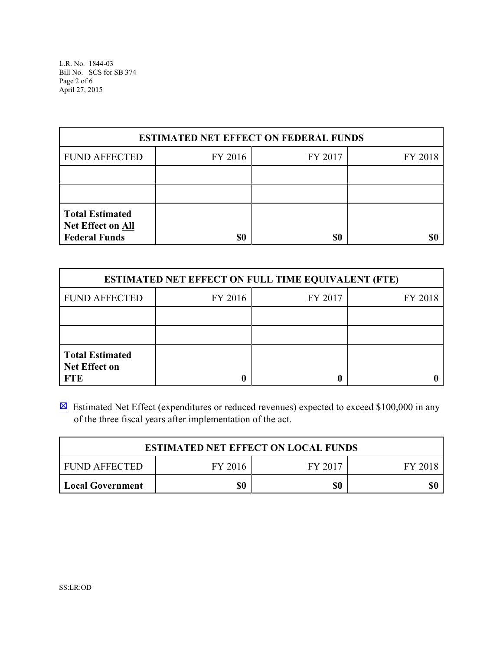L.R. No. 1844-03 Bill No. SCS for SB 374 Page 2 of 6 April 27, 2015

| <b>ESTIMATED NET EFFECT ON FEDERAL FUNDS</b>                               |         |         |         |  |
|----------------------------------------------------------------------------|---------|---------|---------|--|
| <b>FUND AFFECTED</b>                                                       | FY 2016 | FY 2017 | FY 2018 |  |
|                                                                            |         |         |         |  |
|                                                                            |         |         |         |  |
| <b>Total Estimated</b><br><b>Net Effect on All</b><br><b>Federal Funds</b> | \$0     | \$0     |         |  |

| <b>ESTIMATED NET EFFECT ON FULL TIME EQUIVALENT (FTE)</b>    |         |         |         |  |
|--------------------------------------------------------------|---------|---------|---------|--|
| <b>FUND AFFECTED</b>                                         | FY 2016 | FY 2017 | FY 2018 |  |
|                                                              |         |         |         |  |
|                                                              |         |         |         |  |
| <b>Total Estimated</b><br><b>Net Effect on</b><br><b>FTE</b> |         |         |         |  |

 $\boxtimes$  Estimated Net Effect (expenditures or reduced revenues) expected to exceed \$100,000 in any of the three fiscal years after implementation of the act.

| <b>ESTIMATED NET EFFECT ON LOCAL FUNDS</b> |         |         |         |
|--------------------------------------------|---------|---------|---------|
| <b>FUND AFFECTED</b>                       | FY 2016 | FY 2017 | FY 2018 |
| Local Government                           | \$0     | \$0     | \$0     |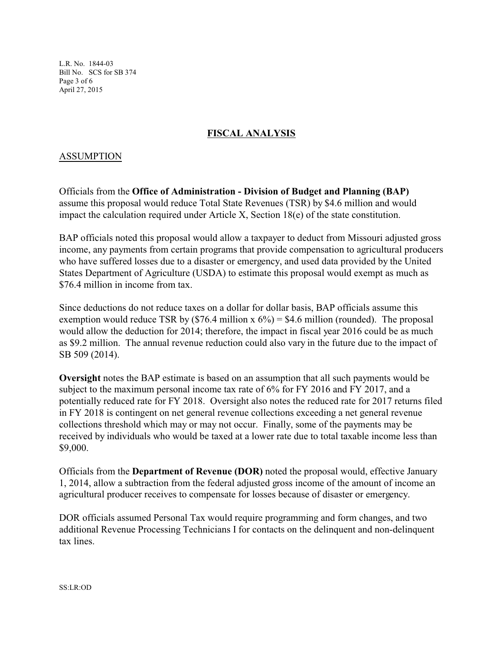L.R. No. 1844-03 Bill No. SCS for SB 374 Page 3 of 6 April 27, 2015

# **FISCAL ANALYSIS**

## ASSUMPTION

Officials from the **Office of Administration - Division of Budget and Planning (BAP)** assume this proposal would reduce Total State Revenues (TSR) by \$4.6 million and would impact the calculation required under Article X, Section  $18(e)$  of the state constitution.

BAP officials noted this proposal would allow a taxpayer to deduct from Missouri adjusted gross income, any payments from certain programs that provide compensation to agricultural producers who have suffered losses due to a disaster or emergency, and used data provided by the United States Department of Agriculture (USDA) to estimate this proposal would exempt as much as \$76.4 million in income from tax.

Since deductions do not reduce taxes on a dollar for dollar basis, BAP officials assume this exemption would reduce TSR by  $(\$76.4 \text{ million x } 6\%) = \$4.6 \text{ million (rounded)}$ . The proposal would allow the deduction for 2014; therefore, the impact in fiscal year 2016 could be as much as \$9.2 million. The annual revenue reduction could also vary in the future due to the impact of SB 509 (2014).

**Oversight** notes the BAP estimate is based on an assumption that all such payments would be subject to the maximum personal income tax rate of 6% for FY 2016 and FY 2017, and a potentially reduced rate for FY 2018. Oversight also notes the reduced rate for 2017 returns filed in FY 2018 is contingent on net general revenue collections exceeding a net general revenue collections threshold which may or may not occur. Finally, some of the payments may be received by individuals who would be taxed at a lower rate due to total taxable income less than \$9,000.

Officials from the **Department of Revenue (DOR)** noted the proposal would, effective January 1, 2014, allow a subtraction from the federal adjusted gross income of the amount of income an agricultural producer receives to compensate for losses because of disaster or emergency.

DOR officials assumed Personal Tax would require programming and form changes, and two additional Revenue Processing Technicians I for contacts on the delinquent and non-delinquent tax lines.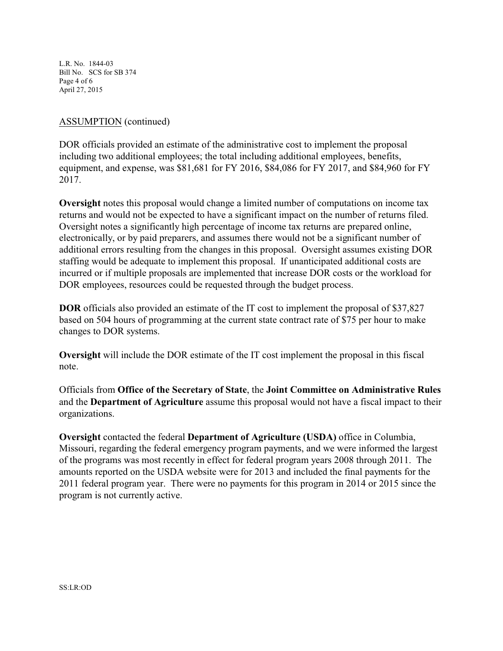L.R. No. 1844-03 Bill No. SCS for SB 374 Page 4 of 6 April 27, 2015

## ASSUMPTION (continued)

DOR officials provided an estimate of the administrative cost to implement the proposal including two additional employees; the total including additional employees, benefits, equipment, and expense, was \$81,681 for FY 2016, \$84,086 for FY 2017, and \$84,960 for FY 2017.

**Oversight** notes this proposal would change a limited number of computations on income tax returns and would not be expected to have a significant impact on the number of returns filed. Oversight notes a significantly high percentage of income tax returns are prepared online, electronically, or by paid preparers, and assumes there would not be a significant number of additional errors resulting from the changes in this proposal. Oversight assumes existing DOR staffing would be adequate to implement this proposal. If unanticipated additional costs are incurred or if multiple proposals are implemented that increase DOR costs or the workload for DOR employees, resources could be requested through the budget process.

**DOR** officials also provided an estimate of the IT cost to implement the proposal of \$37,827 based on 504 hours of programming at the current state contract rate of \$75 per hour to make changes to DOR systems.

**Oversight** will include the DOR estimate of the IT cost implement the proposal in this fiscal note.

Officials from **Office of the Secretary of State**, the **Joint Committee on Administrative Rules** and the **Department of Agriculture** assume this proposal would not have a fiscal impact to their organizations.

**Oversight** contacted the federal **Department of Agriculture (USDA)** office in Columbia, Missouri, regarding the federal emergency program payments, and we were informed the largest of the programs was most recently in effect for federal program years 2008 through 2011. The amounts reported on the USDA website were for 2013 and included the final payments for the 2011 federal program year. There were no payments for this program in 2014 or 2015 since the program is not currently active.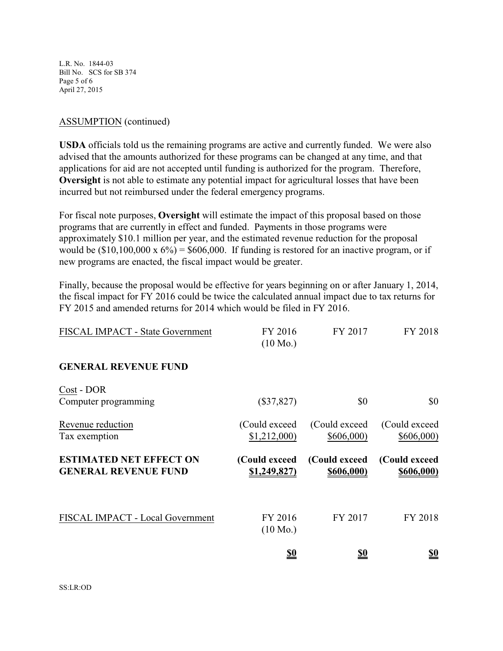L.R. No. 1844-03 Bill No. SCS for SB 374 Page 5 of 6 April 27, 2015

#### ASSUMPTION (continued)

**USDA** officials told us the remaining programs are active and currently funded. We were also advised that the amounts authorized for these programs can be changed at any time, and that applications for aid are not accepted until funding is authorized for the program. Therefore, **Oversight** is not able to estimate any potential impact for agricultural losses that have been incurred but not reimbursed under the federal emergency programs.

For fiscal note purposes, **Oversight** will estimate the impact of this proposal based on those programs that are currently in effect and funded. Payments in those programs were approximately \$10.1 million per year, and the estimated revenue reduction for the proposal would be  $(\$10,100,000 \times 6\%) = \$606,000$ . If funding is restored for an inactive program, or if new programs are enacted, the fiscal impact would be greater.

Finally, because the proposal would be effective for years beginning on or after January 1, 2014, the fiscal impact for FY 2016 could be twice the calculated annual impact due to tax returns for FY 2015 and amended returns for 2014 which would be filed in FY 2016.

| FISCAL IMPACT - State Government                              | FY 2016<br>$(10 \text{ Mo.})$ | FY 2017                      | FY 2018                     |
|---------------------------------------------------------------|-------------------------------|------------------------------|-----------------------------|
| <b>GENERAL REVENUE FUND</b>                                   |                               |                              |                             |
| Cost - DOR<br>Computer programming                            | $(\$37,827)$                  | \$0                          | \$0                         |
| Revenue reduction<br>Tax exemption                            | (Could exceed)<br>\$1,212,000 | (Could exceed)<br>\$606,000  | (Could exceed)<br>\$606,000 |
| <b>ESTIMATED NET EFFECT ON</b><br><b>GENERAL REVENUE FUND</b> | (Could exceed<br>\$1,249,827  | (Could exceed)<br>\$606,000) | (Could exceed<br>\$606,000) |
| FISCAL IMPACT - Local Government                              | FY 2016<br>$(10 \text{ Mo.})$ | FY 2017                      | FY 2018                     |
|                                                               | <u>\$0</u>                    | <u>\$0</u>                   | <u>so</u>                   |